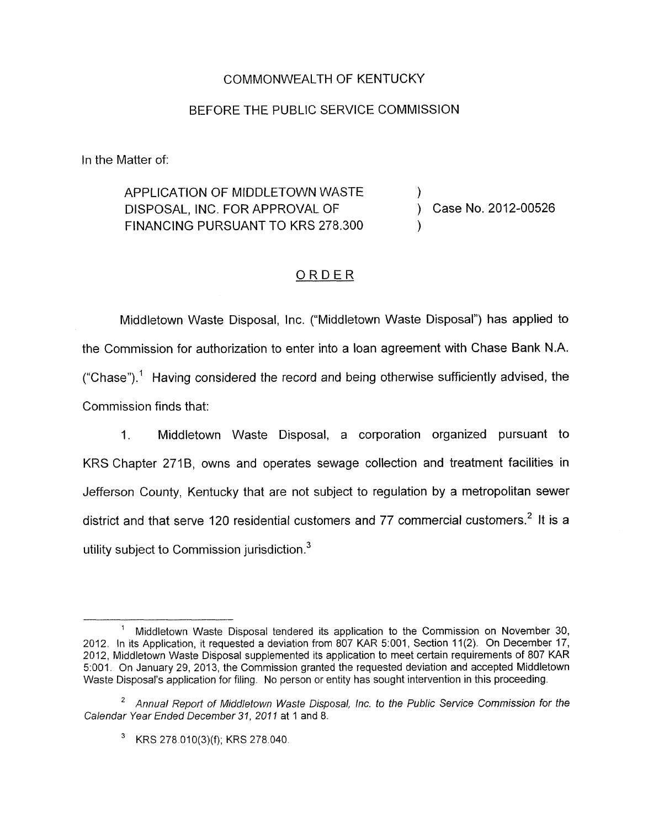## COMMONWEALTH OF KENTUCKY

## BEFORE THE PUBLIC SERVICE COMMISSION

In the Matter of:

APPLICATION OF MIDDLETOWN WASTE  $\qquad \qquad$  ) Case No. 2012-00526 DISPOSAL, INC. FOR APPROVAL OF FINANCING PURSUANT TO KRS 278,300

## ORDER

Middletown Waste Disposal, Inc. ("Middletown Waste Disposal") has applied to the Commission for authorization to enter into a loan agreement with Chase Bank N.A. ("Chase").<sup>1</sup> Having considered the record and being otherwise sufficiently advised, the Commission finds that:

1. Middletown Waste Disposal, a corporation organized pursuant to KRS Chapter 2719, owns and operates sewage collection and treatment facilities in Jefferson County, Kentucky that are not subject to regulation by a metropolitan sewer district and that serve 120 residential customers and 77 commercial customers.' It *is* a utility subject to Commission jurisdiction. $3$ 

Middletown Waste Disposal tendered its application to the Commission on November 30, 2012. In its Application, it requested a deviation from 807 KAR 5:001, Section 11(2). On December 17, 2012, Middletown Waste Disposal supplemented its application to meet certain requirements of 807 KAR 5:001. On January 29, 201 3, the Cornmission granted the requested deviation and accepted Middletown Waste Disposal's application for filing. No person or entity has sought intervention in this proceeding. **1** 

*Annual* Reporf *of* Middletown *Waste* Disposal, Inc. *to the* Public Service Commission *for the*  2 Calendar *Year* Ended December *31, 201 I* at 1 and 8.

KRS 278.010(3)(f); KRS 278.040.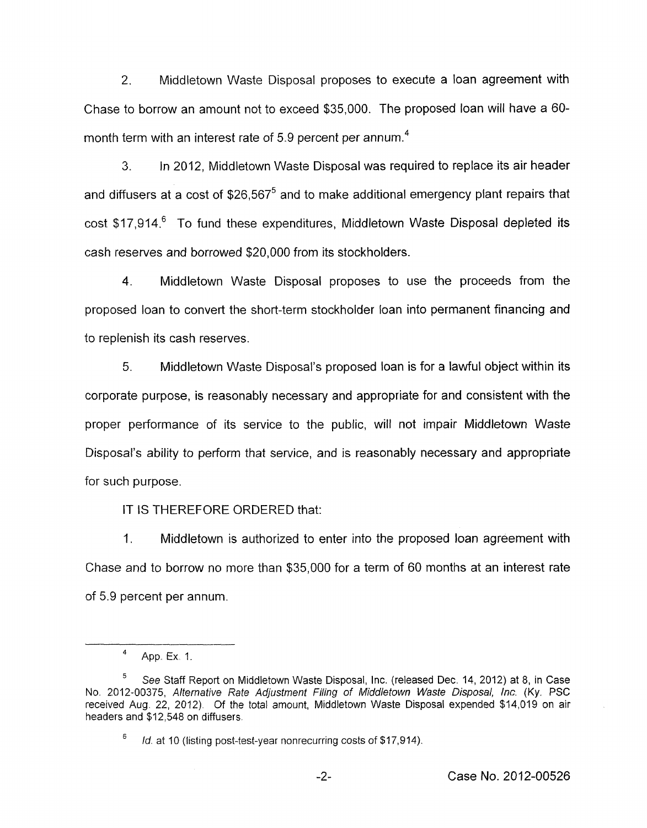2. Middletown Waste Disposal proposes to execute a loan agreement with Chase to borrow an amount not to exceed \$35,000. The proposed loan will have a 60 month term with an interest rate of 5.9 percent per annum.<sup>4</sup>

**3.** In 2012, Middletown Waste Disposal was required to replace its air header and diffusers at a cost of  $$26,567^5$  and to make additional emergency plant repairs that  $\cot$  \$17,914.<sup>6</sup> To fund these expenditures, Middletown Waste Disposal depleted its cash reserves and borrowed \$20,000 from its stockholders.

4. Middletown Waste Disposal proposes to use the proceeds from the proposed loan to convert the short-term stockholder loan into permanent financing and to replenish its cash reserves.

*5.* Middletown Waste Disposal's proposed loan is for a lawful object within its corporate purpose, is reasonably necessary and appropriate for and consistent with the proper performance of its service to the public, will not impair Middletown Waste Disposal's ability to perform that service, and is reasonably necessary and appropriate for such purpose.

IT IS THEREFORE ORDERED that:

1. Middletown is authorized to enter into the proposed loan agreement with Chase and to borrow no more than \$35,000 for a term of 60 months at an interest rate of 5.9 percent per annum.

App. Ex. 1. **4** 

See Staff Report on Middletown Waste Disposal, Inc. (released Dec. 14, 2012) at 8, in Case No. 201 2-00375, Alternative Rate Adjusfment Filing *of* Middletown Waste *Disposal,* Inc. **(Ky.** PSC received Aug. 22, 2012). *Of* the total amount, Middletown Waste Disposal expended \$14,019 on air headers and \$12,548 on diffusers. **5** 

*Id.* at 10 (listing post-test-year nonrecurring costs of \$17,914).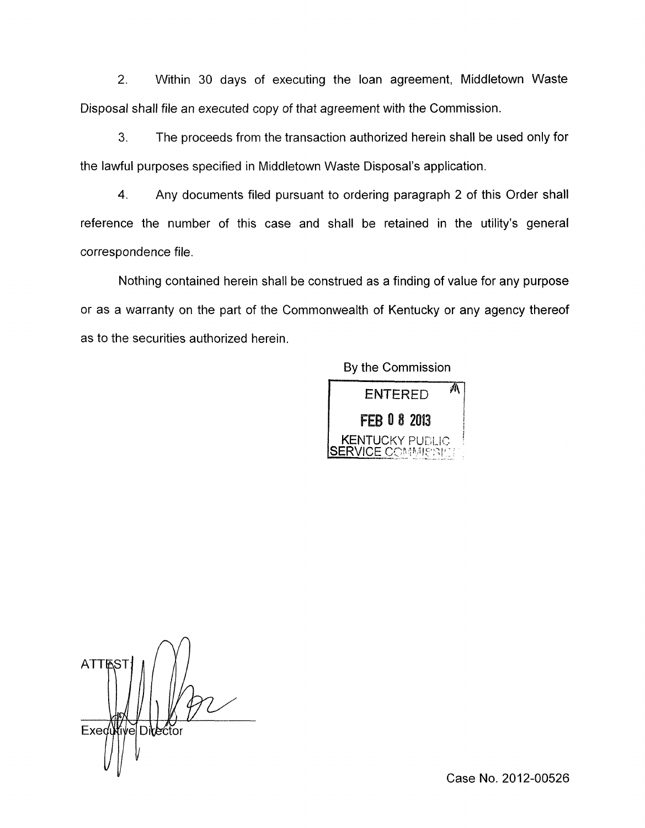2. Within 30 days of executing the loan agreement, Middletown Waste Disposal shall file an executed copy of that agreement with the Commission.

*3.* The proceeds from the transaction authorized herein shall be used only for the lawful purposes specified in Middletown Waste Disposal's application.

**4.** Any documents filed pursuant to ordering paragraph 2 of this Order shall reference the number of this case and shall be retained in the utility's general correspondence file

Nothing contained herein shall be construed as a finding of value for any purpose or as a warranty on the part of the Commonwealth of Kentucky or any agency thereof as to the securities authorized herein.

By the Commission



**ATTR** Executive Director

Case No. 2012-00526